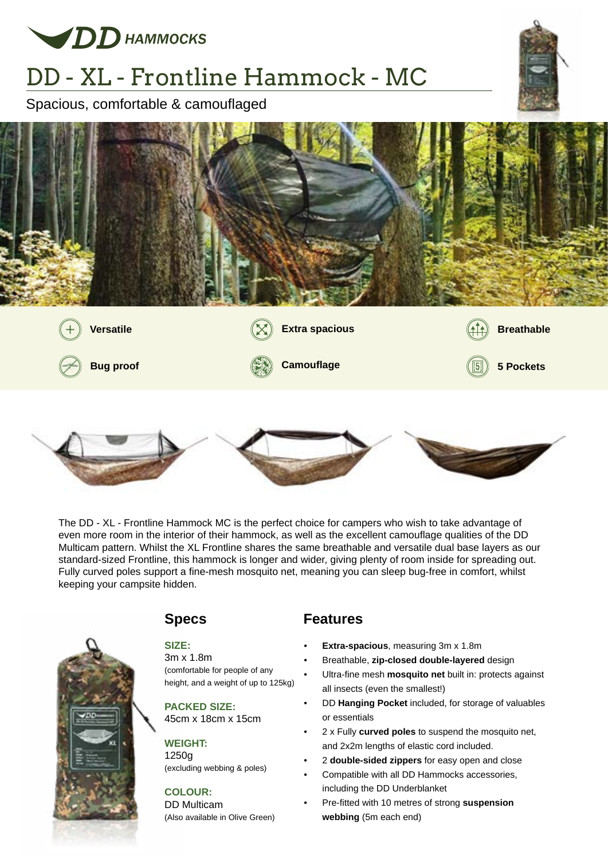

# DD - XL - Frontline Hammock - MC

Spacious, comfortable & camouflaged









The DD - XL - Frontline Hammock MC is the perfect choice for campers who wish to take advantage of even more room in the interior of their hammock, as well as the excellent camouflage qualities of the DD Multicam pattern. Whilst the XL Frontline shares the same breathable and versatile dual base layers as our standard-sized Frontline, this hammock is longer and wider, giving plenty of room inside for spreading out. Fully curved poles support a fine-mesh mosquito net, meaning you can sleep bug-free in comfort, whilst keeping your campsite hidden.



## **SIZE:**

3m x 1.8m (comfortable for people of any height, and a weight of up to 125kg)

## **PACKED SIZE:**

45cm x 18cm x 15cm

#### **WEIGHT:**

1250g (excluding webbing & poles)

#### **COLOUR:**

DD Multicam (Also available in Olive Green)

### **Specs Features**

- **Extra-spacious**, measuring 3m x 1.8m
- Breathable, **zip-closed double-layered** design
- Ultra-fine mesh **mosquito net** built in: protects against all insects (even the smallest!)
- DD **Hanging Pocket** included, for storage of valuables or essentials
- 2 x Fully **curved poles** to suspend the mosquito net, and 2x2m lengths of elastic cord included.
- 2 **double-sided zippers** for easy open and close
- Compatible with all DD Hammocks accessories, including the DD Underblanket
- Pre-fitted with 10 metres of strong **suspension webbing** (5m each end)